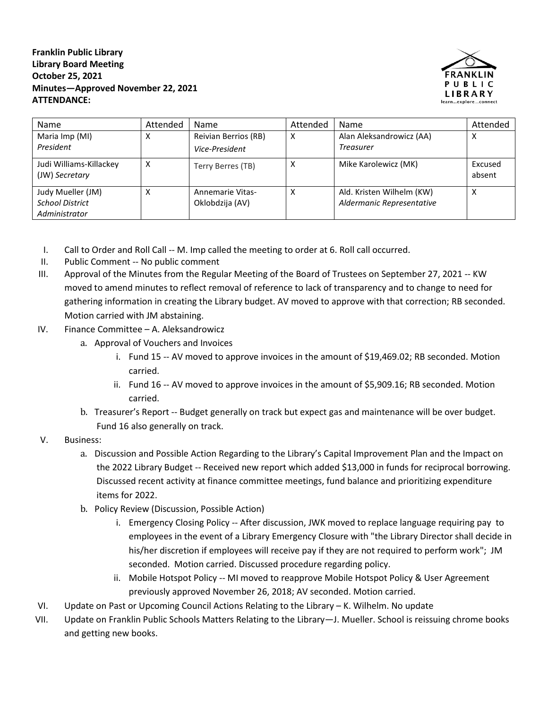**Franklin Public Library Library Board Meeting October 25, 2021 Minutes—Approved November 22, 2021 ATTENDANCE:**



| Name                                                         | Attended | Name                                       | Attended | Name                                                   | Attended          |
|--------------------------------------------------------------|----------|--------------------------------------------|----------|--------------------------------------------------------|-------------------|
| Maria Imp (MI)<br>President                                  |          | Reivian Berrios (RB)<br>Vice-President     | x        | Alan Aleksandrowicz (AA)<br><b>Treasurer</b>           | x                 |
| Judi Williams-Killackey<br>(JW) Secretary                    |          | Terry Berres (TB)                          | Χ        | Mike Karolewicz (MK)                                   | Excused<br>absent |
| Judy Mueller (JM)<br><b>School District</b><br>Administrator |          | <b>Annemarie Vitas-</b><br>Oklobdzija (AV) | Χ        | Ald. Kristen Wilhelm (KW)<br>Aldermanic Representative | Χ                 |

- I. Call to Order and Roll Call -- M. Imp called the meeting to order at 6. Roll call occurred.
- II. Public Comment -- No public comment
- III. Approval of the Minutes from the Regular Meeting of the Board of Trustees on September 27, 2021 -- KW moved to amend minutes to reflect removal of reference to lack of transparency and to change to need for gathering information in creating the Library budget. AV moved to approve with that correction; RB seconded. Motion carried with JM abstaining.
- IV. Finance Committee A. Aleksandrowicz
	- a. Approval of Vouchers and Invoices
		- i. Fund 15 -- AV moved to approve invoices in the amount of \$19,469.02; RB seconded. Motion carried.
		- ii. Fund 16 -- AV moved to approve invoices in the amount of \$5,909.16; RB seconded. Motion carried.
	- b. Treasurer's Report -- Budget generally on track but expect gas and maintenance will be over budget. Fund 16 also generally on track.
- V. Business:
	- a. Discussion and Possible Action Regarding to the Library's Capital Improvement Plan and the Impact on the 2022 Library Budget -- Received new report which added \$13,000 in funds for reciprocal borrowing. Discussed recent activity at finance committee meetings, fund balance and prioritizing expenditure items for 2022.
	- b. Policy Review (Discussion, Possible Action)
		- i. Emergency Closing Policy -- After discussion, JWK moved to replace language requiring pay to employees in the event of a Library Emergency Closure with "the Library Director shall decide in his/her discretion if employees will receive pay if they are not required to perform work"; JM seconded. Motion carried. Discussed procedure regarding policy.
		- ii. Mobile Hotspot Policy -- MI moved to reapprove Mobile Hotspot Policy & User Agreement previously approved November 26, 2018; AV seconded. Motion carried.
- VI. Update on Past or Upcoming Council Actions Relating to the Library K. Wilhelm. No update
- VII. Update on Franklin Public Schools Matters Relating to the Library—J. Mueller. School is reissuing chrome books and getting new books.